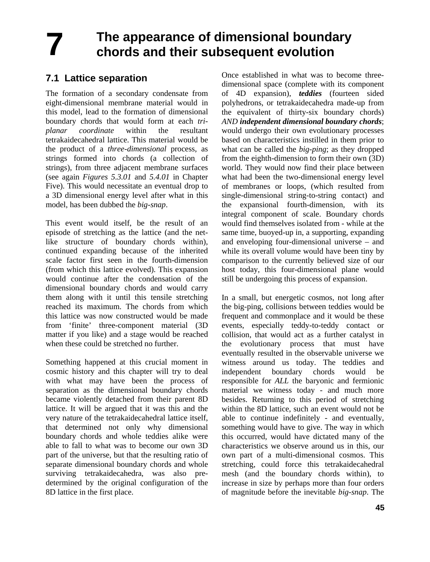## **The appearance of dimensional boundary chords and their subsequent evolution 7**

# **7.1 Lattice separation**

The formation of a secondary condensate from eight-dimensional membrane material would in this model, lead to the formation of dimensional boundary chords that would form at each *triplanar coordinate* within the resultant tetrakaidecahedral lattice. This material would be the product of a *three-dimensional* process, as strings formed into chords (a collection of strings), from three adjacent membrane surfaces (see again *Figures 5.3.01* and *5.4.01* in Chapter Five). This would necessitate an eventual drop to a 3D dimensional energy level after what in this model, has been dubbed the *big-snap*.

This event would itself, be the result of an episode of stretching as the lattice (and the netlike structure of boundary chords within), continued expanding because of the inherited scale factor first seen in the fourth-dimension (from which this lattice evolved). This expansion would continue after the condensation of the dimensional boundary chords and would carry them along with it until this tensile stretching reached its maximum. The chords from which this lattice was now constructed would be made from 'finite' three-component material (3D matter if you like) and a stage would be reached when these could be stretched no further.

Something happened at this crucial moment in cosmic history and this chapter will try to deal with what may have been the process of separation as the dimensional boundary chords became violently detached from their parent 8D lattice. It will be argued that it was this and the very nature of the tetrakaidecahedral lattice itself, that determined not only why dimensional boundary chords and whole teddies alike were able to fall to what was to become our own 3D part of the universe, but that the resulting ratio of separate dimensional boundary chords and whole surviving tetrakaidecahedra, was also predetermined by the original configuration of the 8D lattice in the first place.

Once established in what was to become threedimensional space (complete with its component of 4D expansion), *teddies* (fourteen sided polyhedrons, or tetrakaidecahedra made-up from the equivalent of thirty-six boundary chords) *AND independent dimensional boundary chords*; would undergo their own evolutionary processes based on characteristics instilled in them prior to what can be called the *big-ping*; as they dropped from the eighth-dimension to form their own (3D) world. They would now find their place between what had been the two-dimensional energy level of membranes or loops, (which resulted from single-dimensional string-to-string contact) and the expansional fourth-dimension, with its integral component of scale. Boundary chords would find themselves isolated from - while at the same time, buoyed-up in, a supporting, expanding and enveloping four-dimensional universe – and while its overall volume would have been tiny by comparison to the currently believed size of our host today, this four-dimensional plane would still be undergoing this process of expansion.

In a small, but energetic cosmos, not long after the big-ping, collisions between teddies would be frequent and commonplace and it would be these events, especially teddy-to-teddy contact or collision, that would act as a further catalyst in the evolutionary process that must have eventually resulted in the observable universe we witness around us today. The teddies and independent boundary chords would be responsible for *ALL* the baryonic and fermionic material we witness today - and much more besides. Returning to this period of stretching within the 8D lattice, such an event would not be able to continue indefinitely - and eventually, something would have to give. The way in which this occurred, would have dictated many of the characteristics we observe around us in this, our own part of a multi-dimensional cosmos. This stretching, could force this tetrakaidecahedral mesh (and the boundary chords within), to increase in size by perhaps more than four orders of magnitude before the inevitable *big-snap*. The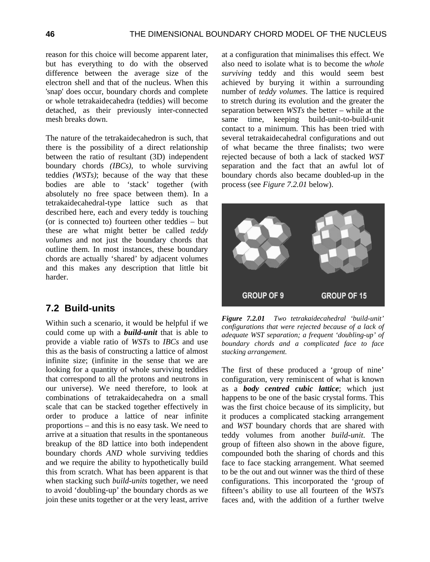reason for this choice will become apparent later, but has everything to do with the observed difference between the average size of the electron shell and that of the nucleus. When this 'snap' does occur, boundary chords and complete or whole tetrakaidecahedra (teddies) will become detached, as their previously inter-connected mesh breaks down.

The nature of the tetrakaidecahedron is such, that there is the possibility of a direct relationship between the ratio of resultant (3D) independent boundary chords *(IBCs)*, to whole surviving teddies *(WSTs)*; because of the way that these bodies are able to 'stack' together (with absolutely no free space between them). In a tetrakaidecahedral-type lattice such as that described here, each and every teddy is touching (or is connected to) fourteen other teddies – but these are what might better be called *teddy volumes* and not just the boundary chords that outline them. In most instances, these boundary chords are actually 'shared' by adjacent volumes and this makes any description that little bit harder.

### **7.2 Build-units**

Within such a scenario, it would be helpful if we could come up with a *build-unit* that is able to provide a viable ratio of *WSTs* to *IBCs* and use this as the basis of constructing a lattice of almost infinite size; (infinite in the sense that we are looking for a quantity of whole surviving teddies that correspond to all the protons and neutrons in our universe). We need therefore, to look at combinations of tetrakaidecahedra on a small scale that can be stacked together effectively in order to produce a lattice of near infinite proportions – and this is no easy task. We need to arrive at a situation that results in the spontaneous breakup of the 8D lattice into both independent boundary chords *AND* whole surviving teddies and we require the ability to hypothetically build this from scratch. What has been apparent is that when stacking such *build-units* together, we need to avoid 'doubling-up' the boundary chords as we join these units together or at the very least, arrive

at a configuration that minimalises this effect. We also need to isolate what is to become the *whole surviving* teddy and this would seem best achieved by burying it within a surrounding number of *teddy volumes*. The lattice is required to stretch during its evolution and the greater the separation between *WSTs* the better – while at the same time, keeping build-unit-to-build-unit contact to a minimum. This has been tried with several tetrakaidecahedral configurations and out of what became the three finalists; two were rejected because of both a lack of stacked *WST* separation and the fact that an awful lot of boundary chords also became doubled-up in the process (see *Figure 7.2.01* below).



*Figure 7.2.01 Two tetrakaidecahedral 'build-unit' configurations that were rejected because of a lack of adequate WST separation; a frequent 'doubling-up' of boundary chords and a complicated face to face stacking arrangement.*

The first of these produced a 'group of nine' configuration, very reminiscent of what is known as a *body centred cubic lattice*; which just happens to be one of the basic crystal forms. This was the first choice because of its simplicity, but it produces a complicated stacking arrangement and *WST* boundary chords that are shared with teddy volumes from another *build-unit*. The group of fifteen also shown in the above figure, compounded both the sharing of chords and this face to face stacking arrangement. What seemed to be the out and out winner was the third of these configurations. This incorporated the 'group of fifteen's ability to use all fourteen of the *WSTs* faces and, with the addition of a further twelve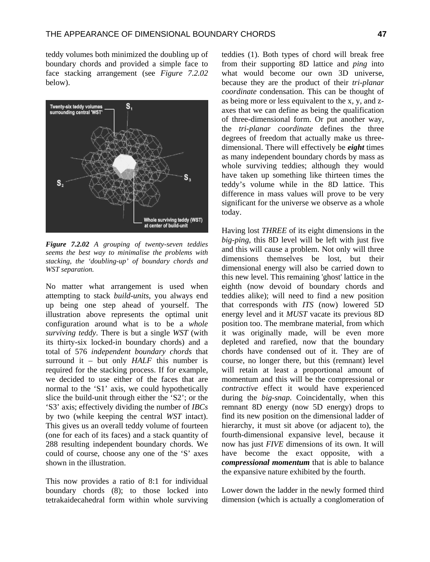teddy volumes both minimized the doubling up of boundary chords and provided a simple face to face stacking arrangement (see *Figure 7.2.02* below).



*Figure 7.2.02 A grouping of twenty-seven teddies seems the best way to minimalise the problems with stacking, the 'doubling-up' of boundary chords and WST separation.* 

No matter what arrangement is used when attempting to stack *build-units*, you always end up being one step ahead of yourself. The illustration above represents the optimal unit configuration around what is to be a *whole surviving teddy*. There is but a single *WST* (with its thirty-six locked-in boundary chords) and a total of 576 *independent boundary chords* that surround it – but only *HALF* this number is required for the stacking process. If for example, we decided to use either of the faces that are normal to the 'S1' axis, we could hypothetically slice the build-unit through either the 'S2'; or the 'S3' axis; effectively dividing the number of *IBCs* by two (while keeping the central *WST* intact). This gives us an overall teddy volume of fourteen (one for each of its faces) and a stack quantity of 288 resulting independent boundary chords. We could of course, choose any one of the 'S' axes shown in the illustration.

This now provides a ratio of 8:1 for individual boundary chords (8); to those locked into tetrakaidecahedral form within whole surviving

teddies (1). Both types of chord will break free from their supporting 8D lattice and *ping* into what would become our own 3D universe, because they are the product of their *tri-planar coordinate* condensation. This can be thought of as being more or less equivalent to the x, y, and zaxes that we can define as being the qualification of three-dimensional form. Or put another way, the *tri-planar coordinate* defines the three degrees of freedom that actually make us threedimensional. There will effectively be *eight* times as many independent boundary chords by mass as whole surviving teddies; although they would have taken up something like thirteen times the teddy's volume while in the 8D lattice. This difference in mass values will prove to be very significant for the universe we observe as a whole today.

Having lost *THREE* of its eight dimensions in the *big-ping*, this 8D level will be left with just five and this will cause a problem. Not only will three dimensions themselves be lost, but their dimensional energy will also be carried down to this new level. This remaining 'ghost' lattice in the eighth (now devoid of boundary chords and teddies alike); will need to find a new position that corresponds with *ITS* (now) lowered 5D energy level and it *MUST* vacate its previous 8D position too. The membrane material, from which it was originally made, will be even more depleted and rarefied, now that the boundary chords have condensed out of it. They are of course, no longer there, but this (remnant) level will retain at least a proportional amount of momentum and this will be the compressional or *contractive* effect it would have experienced during the *big-snap*. Coincidentally, when this remnant 8D energy (now 5D energy) drops to find its new position on the dimensional ladder of hierarchy, it must sit above (or adjacent to), the fourth-dimensional expansive level, because it now has just *FIVE* dimensions of its own. It will have become the exact opposite, with a *compressional momentum* that is able to balance the expansive nature exhibited by the fourth.

Lower down the ladder in the newly formed third dimension (which is actually a conglomeration of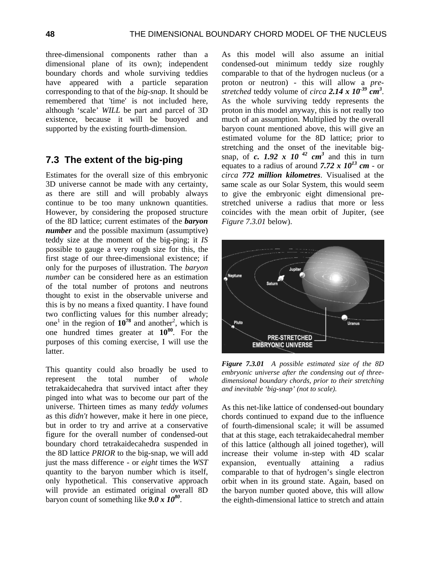three-dimensional components rather than a dimensional plane of its own); independent boundary chords and whole surviving teddies have appeared with a particle separation corresponding to that of the *big-snap*. It should be remembered that 'time' is not included here, although 'scale' *WILL* be part and parcel of 3D existence, because it will be buoyed and supported by the existing fourth-dimension.

### **7.3 The extent of the big-ping**

Estimates for the overall size of this embryonic 3D universe cannot be made with any certainty, as there are still and will probably always continue to be too many unknown quantities. However, by considering the proposed structure of the 8D lattice; current estimates of the *baryon number* and the possible maximum (assumptive) teddy size at the moment of the big-ping; it *IS* possible to gauge a very rough size for this, the first stage of our three-dimensional existence; if only for the purposes of illustration. The *baryon number* can be considered here as an estimation of the total number of protons and neutrons thought to exist in the observable universe and this is by no means a fixed quantity. I have found two conflicting values for this number already; one<sup>1</sup> in the region of  $10^{78}$  and another<sup>2</sup>, which is one hundred times greater at **10<sup>80</sup>**. For the purposes of this coming exercise, I will use the latter.

This quantity could also broadly be used to represent the total number of *whole* tetrakaidecahedra that survived intact after they pinged into what was to become our part of the universe. Thirteen times as many *teddy volumes* as this *didn't* however, make it here in one piece, but in order to try and arrive at a conservative figure for the overall number of condensed-out boundary chord tetrakaidecahedra suspended in the 8D lattice *PRIOR* to the big-snap, we will add just the mass difference - or *eight* times the *WST* quantity to the baryon number which is itself, only hypothetical. This conservative approach will provide an estimated original overall 8D baryon count of something like *9.0 x 10<sup>80</sup>*.

As this model will also assume an initial condensed-out minimum teddy size roughly comparable to that of the hydrogen nucleus (or a proton or neutron) - this will allow a *prestretched* teddy volume of *circa 2.14 x 10-39 cm3* . As the whole surviving teddy represents the proton in this model anyway, this is not really too much of an assumption. Multiplied by the overall baryon count mentioned above, this will give an estimated volume for the 8D lattice; prior to stretching and the onset of the inevitable bigsnap, of *c.* 1.92 x 10<sup>42</sup> cm<sup>3</sup> and this in turn equates to a radius of around *7.72 x 1013 cm* - or *circa 772 million kilometres*. Visualised at the same scale as our Solar System, this would seem to give the embryonic eight dimensional prestretched universe a radius that more or less coincides with the mean orbit of Jupiter, (see *Figure 7.3.01* below).



*Figure 7.3.01 A possible estimated size of the 8D embryonic universe after the condensing out of threedimensional boundary chords, prior to their stretching and inevitable 'big-snap' (not to scale).*

As this net-like lattice of condensed-out boundary chords continued to expand due to the influence of fourth-dimensional scale; it will be assumed that at this stage, each tetrakaidecahedral member of this lattice (although all joined together), will increase their volume in-step with 4D scalar expansion, eventually attaining a radius comparable to that of hydrogen's single electron orbit when in its ground state. Again, based on the baryon number quoted above, this will allow the eighth-dimensional lattice to stretch and attain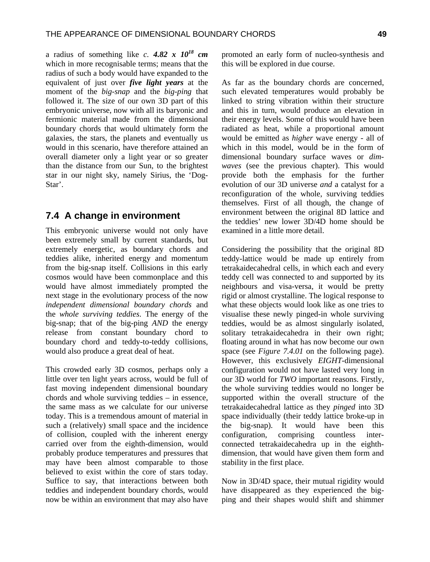a radius of something like *c.* 4.82 x  $10^{18}$  cm which in more recognisable terms; means that the radius of such a body would have expanded to the equivalent of just over *five light years* at the moment of the *big-snap* and the *big-ping* that followed it. The size of our own 3D part of this embryonic universe, now with all its baryonic and fermionic material made from the dimensional boundary chords that would ultimately form the galaxies, the stars, the planets and eventually us would in this scenario, have therefore attained an overall diameter only a light year or so greater than the distance from our Sun, to the brightest star in our night sky, namely Sirius, the 'Dog-Star'.

#### **7.4 A change in environment**

This embryonic universe would not only have been extremely small by current standards, but extremely energetic, as boundary chords and teddies alike, inherited energy and momentum from the big-snap itself. Collisions in this early cosmos would have been commonplace and this would have almost immediately prompted the next stage in the evolutionary process of the now *independent dimensional boundary chords* and the *whole surviving teddies*. The energy of the big-snap; that of the big-ping *AND* the energy release from constant boundary chord to boundary chord and teddy-to-teddy collisions, would also produce a great deal of heat.

This crowded early 3D cosmos, perhaps only a little over ten light years across, would be full of fast moving independent dimensional boundary chords and whole surviving teddies – in essence, the same mass as we calculate for our universe today. This is a tremendous amount of material in such a (relatively) small space and the incidence of collision, coupled with the inherent energy carried over from the eighth-dimension, would probably produce temperatures and pressures that may have been almost comparable to those believed to exist within the core of stars today. Suffice to say, that interactions between both teddies and independent boundary chords, would now be within an environment that may also have promoted an early form of nucleo-synthesis and this will be explored in due course.

As far as the boundary chords are concerned, such elevated temperatures would probably be linked to string vibration within their structure and this in turn, would produce an elevation in their energy levels. Some of this would have been radiated as heat, while a proportional amount would be emitted as *higher* wave energy - all of which in this model, would be in the form of dimensional boundary surface waves or *dimwaves* (see the previous chapter). This would provide both the emphasis for the further evolution of our 3D universe *and* a catalyst for a reconfiguration of the whole, surviving teddies themselves. First of all though, the change of environment between the original 8D lattice and the teddies' new lower 3D/4D home should be examined in a little more detail.

Considering the possibility that the original 8D teddy-lattice would be made up entirely from tetrakaidecahedral cells, in which each and every teddy cell was connected to and supported by its neighbours and visa-versa, it would be pretty rigid or almost crystalline. The logical response to what these objects would look like as one tries to visualise these newly pinged-in whole surviving teddies, would be as almost singularly isolated, solitary tetrakaidecahedra in their own right; floating around in what has now become our own space (see *Figure 7.4.01* on the following page). However, this exclusively *EIGHT*-dimensional configuration would not have lasted very long in our 3D world for *TWO* important reasons. Firstly, the whole surviving teddies would no longer be supported within the overall structure of the tetrakaidecahedral lattice as they *pinged* into 3D space individually (their teddy lattice broke-up in the big-snap). It would have been this configuration, comprising countless interconnected tetrakaidecahedra up in the eighthdimension, that would have given them form and stability in the first place.

Now in 3D/4D space, their mutual rigidity would have disappeared as they experienced the bigping and their shapes would shift and shimmer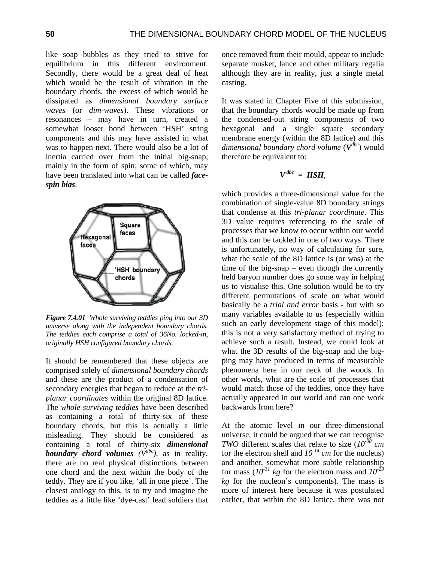like soap bubbles as they tried to strive for equilibrium in this different environment. Secondly, there would be a great deal of heat which would be the result of vibration in the boundary chords, the excess of which would be dissipated as *dimensional boundary surface waves* (or *dim-waves*). These vibrations or resonances – may have in turn, created a somewhat looser bond between 'HSH' string components and this may have assisted in what was to happen next. There would also be a lot of inertia carried over from the initial big-snap, mainly in the form of spin; some of which, may have been translated into what can be called *facespin bias*.



*Figure 7.4.01 Whole surviving teddies ping into our 3D universe along with the independent boundary chords. The teddies each comprise a total of 36No. locked-in, originally HSH configured boundary chords.*

It should be remembered that these objects are comprised solely of *dimensional boundary chords* and these are the product of a condensation of secondary energies that began to reduce at the *triplanar coordinates* within the original 8D lattice. The *whole surviving teddies* have been described as containing a total of thirty-six of these boundary chords, but this is actually a little misleading. They should be considered as containing a total of thirty-six *dimensional boundary chord volumes*  $(V^{dbc})$ , as in reality, there are no real physical distinctions between one chord and the next within the body of the teddy. They are if you like, 'all in one piece'. The closest analogy to this, is to try and imagine the teddies as a little like 'dye-cast' lead soldiers that once removed from their mould, appear to include separate musket, lance and other military regalia although they are in reality, just a single metal casting.

It was stated in Chapter Five of this submission, that the boundary chords would be made up from the condensed-out string components of two hexagonal and a single square secondary membrane energy (within the 8D lattice) and this *dimensional boundary chord volume* (*Vdbc*) would therefore be equivalent to:

$$
V^{dbc} = HSH,
$$

which provides a three-dimensional value for the combination of single-value 8D boundary strings that condense at this *tri-planar coordinate*. This 3D value requires referencing to the scale of processes that we know to occur within our world and this can be tackled in one of two ways. There is unfortunately, no way of calculating for sure, what the scale of the 8D lattice is (or was) at the time of the big-snap – even though the currently held baryon number does go some way in helping us to visualise this. One solution would be to try different permutations of scale on what would basically be a *trial and error* basis - but with so many variables available to us (especially within such an early development stage of this model); this is not a very satisfactory method of trying to achieve such a result. Instead, we could look at what the 3D results of the big-snap and the bigping may have produced in terms of measurable phenomena here in our neck of the woods. In other words, what are the scale of processes that would match those of the teddies, once they have actually appeared in our world and can one work backwards from here?

At the atomic level in our three-dimensional universe, it could be argued that we can recognise *TWO* different scales that relate to size (*10-08 cm* for the electron shell and  $10^{-14}$  cm for the nucleus) and another, somewhat more subtle relationship for mass  $(10^{-31}$  kg for the electron mass and  $10^{-29}$ *kg* for the nucleon's components). The mass is more of interest here because it was postulated earlier, that within the 8D lattice, there was not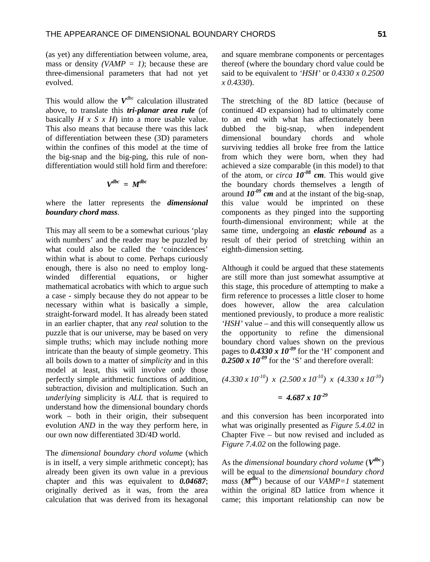(as yet) any differentiation between volume, area, mass or density *(VAMP = 1)*; because these are three-dimensional parameters that had not yet evolved.

This would allow the *Vdbc* calculation illustrated above, to translate this *tri-planar area rule* (of basically *H x S x H*) into a more usable value. This also means that because there was this lack of differentiation between these (3D) parameters within the confines of this model at the time of the big-snap and the big-ping, this rule of nondifferentiation would still hold firm and therefore:

$$
V^{dbc} = M^{dbc}
$$

where the latter represents the *dimensional boundary chord mass*.

This may all seem to be a somewhat curious 'play with numbers' and the reader may be puzzled by what could also be called the 'coincidences' within what is about to come. Perhaps curiously enough, there is also no need to employ longwinded differential equations, or higher mathematical acrobatics with which to argue such a case - simply because they do not appear to be necessary within what is basically a simple, straight-forward model. It has already been stated in an earlier chapter, that any *real* solution to the puzzle that is our universe, may be based on very simple truths; which may include nothing more intricate than the beauty of simple geometry. This all boils down to a matter of *simplicity* and in this model at least, this will involve *only* those perfectly simple arithmetic functions of addition, subtraction, division and multiplication. Such an *underlying* simplicity is *ALL* that is required to understand how the dimensional boundary chords work – both in their origin, their subsequent evolution *AND* in the way they perform here, in our own now differentiated 3D/4D world.

The *dimensional boundary chord volume* (which is in itself, a very simple arithmetic concept); has already been given its own value in a previous chapter and this was equivalent to *0.04687*; originally derived as it was, from the area calculation that was derived from its hexagonal

and square membrane components or percentages thereof (where the boundary chord value could be said to be equivalent to *'HSH'* or *0.4330 x 0.2500 x 0.4330*).

The stretching of the 8D lattice (because of continued 4D expansion) had to ultimately come to an end with what has affectionately been dubbed the big-snap, when independent dimensional boundary chords and whole surviving teddies all broke free from the lattice from which they were born, when they had achieved a size comparable (in this model) to that of the atom, or *circa*  $10^{-08}$  cm. This would give the boundary chords themselves a length of around  $10^{-09}$  cm and at the instant of the big-snap, this value would be imprinted on these components as they pinged into the supporting fourth-dimensional environment; while at the same time, undergoing an *elastic rebound* as a result of their period of stretching within an eighth-dimension setting.

Although it could be argued that these statements are still more than just somewhat assumptive at this stage, this procedure of attempting to make a firm reference to processes a little closer to home does however, allow the area calculation mentioned previously, to produce a more realistic *'HSH'* value – and this will consequently allow us the opportunity to refine the dimensional boundary chord values shown on the previous pages to  $0.4330 \times 10^{-09}$  for the 'H' component and  $\overline{0.2500 \times 10^{-09}}$  for the 'S' and therefore overall:

 $(4.330 \times 10^{10}) \times (2.500 \times 10^{10}) \times (4.330 \times 10^{10})$ *= 4.687 x 10-29*

and this conversion has been incorporated into what was originally presented as *Figure 5.4.02* in Chapter Five – but now revised and included as *Figure 7.4.02* on the following page.

As the *dimensional boundary chord volume* (*Vdbc*) will be equal to the *dimensional boundary chord mass* ( $M^{dbc}$ ) because of our *VAMP=1* statement within the original 8D lattice from whence it came; this important relationship can now be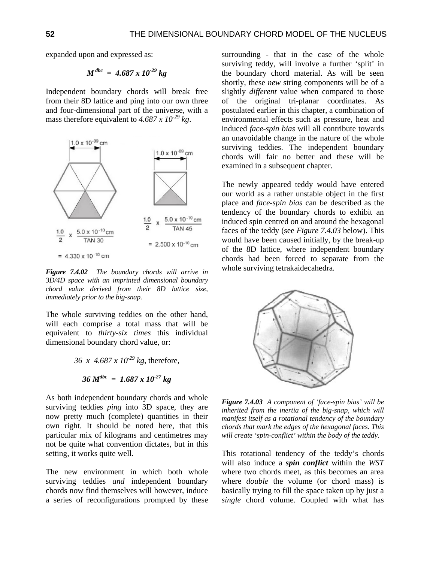expanded upon and expressed as:

$$
M^{dbc} = 4.687 \times 10^{-29} kg
$$

Independent boundary chords will break free from their 8D lattice and ping into our own three and four-dimensional part of the universe, with a mass therefore equivalent to  $4.687 \times 10^{-29}$  kg.



*Figure 7.4.02 The boundary chords will arrive in 3D/4D space with an imprinted dimensional boundary chord value derived from their 8D lattice size, immediately prior to the big-snap.* 

The whole surviving teddies on the other hand, will each comprise a total mass that will be equivalent to *thirty-six times* this individual dimensional boundary chord value, or:

36 x 4.687 x 10<sup>29</sup> kg, therefore,  
36 
$$
M^{dbc}
$$
 = 1.687 x 10<sup>27</sup> kg

As both independent boundary chords and whole surviving teddies *ping* into 3D space, they are now pretty much (complete) quantities in their own right. It should be noted here, that this particular mix of kilograms and centimetres may not be quite what convention dictates, but in this setting, it works quite well.

The new environment in which both whole surviving teddies *and* independent boundary chords now find themselves will however, induce a series of reconfigurations prompted by these surrounding - that in the case of the whole surviving teddy, will involve a further 'split' in the boundary chord material. As will be seen shortly, these *new* string components will be of a slightly *different* value when compared to those of the original tri-planar coordinates. As postulated earlier in this chapter, a combination of environmental effects such as pressure, heat and induced *face-spin bias* will all contribute towards an unavoidable change in the nature of the whole surviving teddies. The independent boundary chords will fair no better and these will be examined in a subsequent chapter.

The newly appeared teddy would have entered our world as a rather unstable object in the first place and *face-spin bias* can be described as the tendency of the boundary chords to exhibit an induced spin centred on and around the hexagonal faces of the teddy (see *Figure 7.4.03* below). This would have been caused initially, by the break-up of the 8D lattice, where independent boundary chords had been forced to separate from the whole surviving tetrakaidecahedra.



*Figure 7.4.03 A component of 'face-spin bias' will be inherited from the inertia of the big-snap, which will manifest itself as a rotational tendency of the boundary chords that mark the edges of the hexagonal faces. This will create 'spin-conflict' within the body of the teddy.*

This rotational tendency of the teddy's chords will also induce a *spin conflict* within the *WST* where two chords meet, as this becomes an area where *double* the volume (or chord mass) is basically trying to fill the space taken up by just a *single* chord volume. Coupled with what has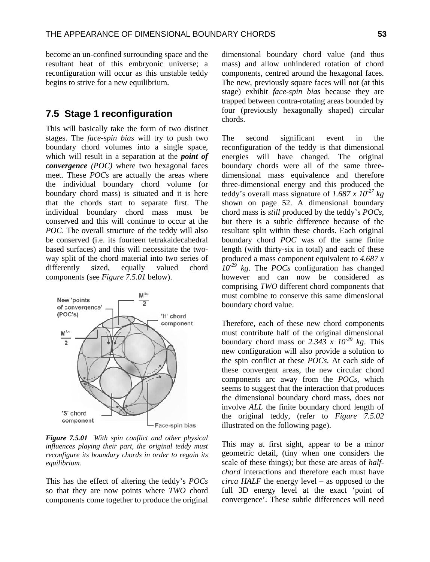become an un-confined surrounding space and the resultant heat of this embryonic universe; a reconfiguration will occur as this unstable teddy begins to strive for a new equilibrium.

### **7.5 Stage 1 reconfiguration**

This will basically take the form of two distinct stages. The *face-spin bias* will try to push two boundary chord volumes into a single space, which will result in a separation at the *point of convergence (POC)* where two hexagonal faces meet. These *POCs* are actually the areas where the individual boundary chord volume (or boundary chord mass) is situated and it is here that the chords start to separate first. The individual boundary chord mass must be conserved and this will continue to occur at the *POC*. The overall structure of the teddy will also be conserved (i.e. its fourteen tetrakaidecahedral based surfaces) and this will necessitate the twoway split of the chord material into two series of differently sized, equally valued chord components (see *Figure 7.5.01* below).



*Figure 7.5.01 With spin conflict and other physical influences playing their part, the original teddy must reconfigure its boundary chords in order to regain its equilibrium.*

This has the effect of altering the teddy's *POCs* so that they are now points where *TWO* chord components come together to produce the original

dimensional boundary chord value (and thus mass) and allow unhindered rotation of chord components, centred around the hexagonal faces. The new, previously square faces will not (at this stage) exhibit *face-spin bias* because they are trapped between contra-rotating areas bounded by four (previously hexagonally shaped) circular chords.

The second significant event in the reconfiguration of the teddy is that dimensional energies will have changed. The original boundary chords were all of the same threedimensional mass equivalence and therefore three-dimensional energy and this produced the teddy's overall mass signature of *1.687 x 10-27 kg* shown on page 52. A dimensional boundary chord mass is *still* produced by the teddy's *POCs*, but there is a subtle difference because of the resultant split within these chords. Each original boundary chord *POC* was of the same finite length (with thirty-six in total) and each of these produced a mass component equivalent to *4.687 x 10-29 kg*. The *POCs* configuration has changed however and can now be considered as comprising *TWO* different chord components that must combine to conserve this same dimensional boundary chord value.

Therefore, each of these new chord components must contribute half of the original dimensional boundary chord mass or 2.343 x  $10^{-29}$  kg. This new configuration will also provide a solution to the spin conflict at these *POCs*. At each side of these convergent areas, the new circular chord components arc away from the *POCs,* which seems to suggest that the interaction that produces the dimensional boundary chord mass, does not involve *ALL* the finite boundary chord length of the original teddy, (refer to *Figure 7.5.02* illustrated on the following page).

This may at first sight, appear to be a minor geometric detail, (tiny when one considers the scale of these things); but these are areas of *halfchord* interactions and therefore each must have *circa HALF* the energy level – as opposed to the full 3D energy level at the exact 'point of convergence'. These subtle differences will need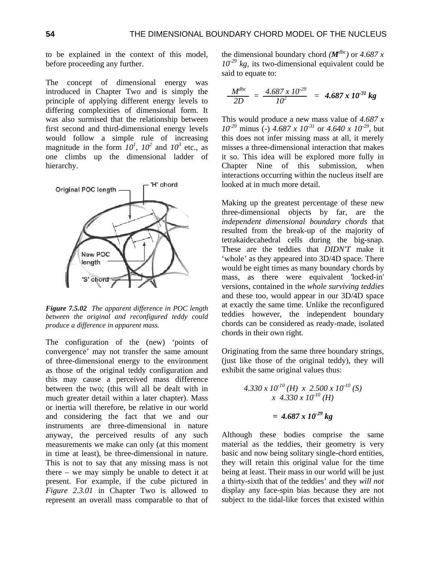to be explained in the context of this model, before proceeding any further.

The concept of dimensional energy was introduced in Chapter Two and is simply the principle of applying different energy levels to differing complexities of dimensional form. It was also surmised that the relationship between first second and third-dimensional energy levels would follow a simple rule of increasing magnitude in the form  $10^1$ ,  $10^2$  and  $10^3$  etc., as one climbs up the dimensional ladder of hierarchy.



*Figure 7.5.02 The apparent difference in POC length between the original and reconfigured teddy could produce a difference in apparent mass.* 

The configuration of the (new) 'points of convergence' may not transfer the same amount of three-dimensional energy to the environment as those of the original teddy configuration and this may cause a perceived mass difference between the two; (this will all be dealt with in much greater detail within a later chapter). Mass or inertia will therefore, be relative in our world and considering the fact that we and our instruments are three-dimensional in nature anyway, the perceived results of any such measurements we make can only (at this moment in time at least), be three-dimensional in nature. This is not to say that any missing mass is not there – we may simply be unable to detect it at present. For example, if the cube pictured in *Figure 2.3.01* in Chapter Two is allowed to represent an overall mass comparable to that of the dimensional boundary chord  $(M^{dbc})$  or 4.687 x  $10^{-29}$  kg, its two-dimensional equivalent could be said to equate to:

$$
\frac{M^{dbc}}{2D} = \frac{4.687 \times 10^{-29}}{10^2} = 4.687 \times 10^{-31} \text{ kg}
$$

This would produce a new mass value of *4.687 x 10<sup>-29</sup>* minus (-) *4.687 x 10<sup>-31</sup> or <i>4.640 x 10<sup>-29</sup>*, but this does not infer missing mass at all, it merely misses a three-dimensional interaction that makes it so. This idea will be explored more fully in Chapter Nine of this submission, when interactions occurring within the nucleus itself are looked at in much more detail.

Making up the greatest percentage of these new three-dimensional objects by far, are the *independent dimensional boundary chords* that resulted from the break-up of the majority of tetrakaidecahedral cells during the big-snap. These are the teddies that *DIDN'T* make it 'whole' as they appeared into 3D/4D space. There would be eight times as many boundary chords by mass, as there were equivalent 'locked-in' versions, contained in the *whole surviving teddies* and these too, would appear in our 3D/4D space at exactly the same time. Unlike the reconfigured teddies however, the independent boundary chords can be considered as ready-made, isolated chords in their own right.

Originating from the same three boundary strings, (just like those of the original teddy), they will exhibit the same original values thus:

$$
4.330 \times 10^{-10} \, (H) \times 2.500 \times 10^{-10} \, (S)
$$
\n
$$
\times 4.330 \times 10^{-10} \, (H)
$$
\n
$$
= 4.687 \times 10^{-29} \, kg
$$

Although these bodies comprise the same material as the teddies, their geometry is very basic and now being solitary single-chord entities, they will retain this original value for the time being at least. Their mass in our world will be just a thirty-sixth that of the teddies' and they *will not* display any face-spin bias because they are not subject to the tidal-like forces that existed within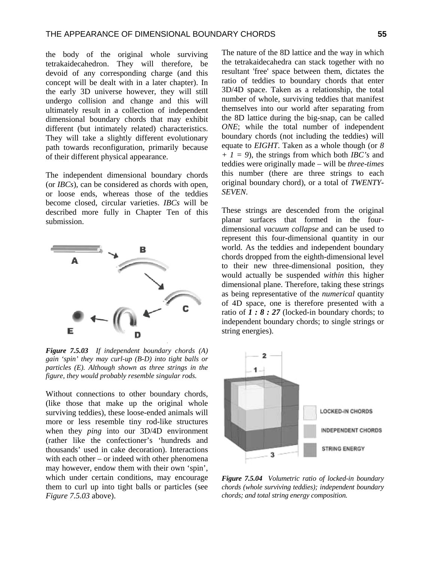the body of the original whole surviving tetrakaidecahedron. They will therefore, be devoid of any corresponding charge (and this concept will be dealt with in a later chapter). In the early 3D universe however, they will still undergo collision and change and this will ultimately result in a collection of independent dimensional boundary chords that may exhibit different (but intimately related) characteristics. They will take a slightly different evolutionary path towards reconfiguration, primarily because of their different physical appearance.

The independent dimensional boundary chords (or *IBCs*), can be considered as chords with open, or loose ends, whereas those of the teddies become closed, circular varieties. *IBCs* will be described more fully in Chapter Ten of this submission.



*Figure 7.5.03 If independent boundary chords (A) gain 'spin' they may curl-up (B-D) into tight balls or particles (E). Although shown as three strings in the figure, they would probably resemble singular rods.*

Without connections to other boundary chords, (like those that make up the original whole surviving teddies), these loose-ended animals will more or less resemble tiny rod-like structures when they *ping* into our 3D/4D environment (rather like the confectioner's 'hundreds and thousands' used in cake decoration). Interactions with each other – or indeed with other phenomena may however, endow them with their own 'spin', which under certain conditions, may encourage them to curl up into tight balls or particles (see *Figure 7.5.03* above).

The nature of the 8D lattice and the way in which the tetrakaidecahedra can stack together with no resultant 'free' space between them, dictates the ratio of teddies to boundary chords that enter 3D/4D space. Taken as a relationship, the total number of whole, surviving teddies that manifest themselves into our world after separating from the 8D lattice during the big-snap, can be called *ONE*; while the total number of independent boundary chords (not including the teddies) will equate to *EIGHT*. Taken as a whole though (or *8 + 1 = 9*), the strings from which both *IBC's* and teddies were originally made – will be *three-times* this number (there are three strings to each original boundary chord), or a total of *TWENTY-SEVEN*.

These strings are descended from the original planar surfaces that formed in the fourdimensional *vacuum collapse* and can be used to represent this four-dimensional quantity in our world. As the teddies and independent boundary chords dropped from the eighth-dimensional level to their new three-dimensional position, they would actually be suspended *within* this higher dimensional plane. Therefore, taking these strings as being representative of the *numerical* quantity of 4D space, one is therefore presented with a ratio of  $1: 8: 27$  (locked-in boundary chords; to independent boundary chords; to single strings or string energies).



*Figure 7.5.04 Volumetric ratio of locked-in boundary chords (whole surviving teddies); independent boundary chords; and total string energy composition.*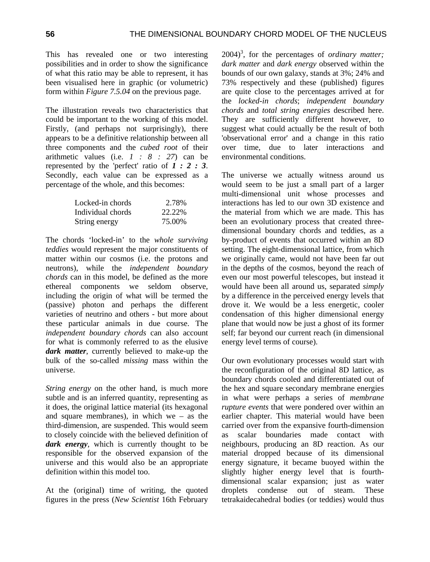This has revealed one or two interesting possibilities and in order to show the significance of what this ratio may be able to represent, it has been visualised here in graphic (or volumetric) form within *Figure 7.5.04* on the previous page.

The illustration reveals two characteristics that could be important to the working of this model. Firstly, (and perhaps not surprisingly), there appears to be a definitive relationship between all three components and the *cubed root* of their arithmetic values (i.e. *1 : 8 : 27*) can be represented by the 'perfect' ratio of *1 : 2 : 3*. Secondly, each value can be expressed as a percentage of the whole, and this becomes:

| Locked-in chords  | 2.78%  |
|-------------------|--------|
| Individual chords | 22.22% |
| String energy     | 75.00% |

The chords 'locked-in' to the *whole surviving teddies* would represent the major constituents of matter within our cosmos (i.e. the protons and neutrons), while the *independent boundary chords* can in this model, be defined as the more ethereal components we seldom observe, including the origin of what will be termed the (passive) photon and perhaps the different varieties of neutrino and others - but more about these particular animals in due course. The *independent boundary chords* can also account for what is commonly referred to as the elusive *dark matter*, currently believed to make-up the bulk of the so-called *missing* mass within the universe.

*String energy* on the other hand, is much more subtle and is an inferred quantity, representing as it does, the original lattice material (its hexagonal and square membranes), in which we – as the third-dimension, are suspended. This would seem to closely coincide with the believed definition of *dark energy*, which is currently thought to be responsible for the observed expansion of the universe and this would also be an appropriate definition within this model too.

At the (original) time of writing, the quoted figures in the press (*New Scientist* 16th February 2004)<sup>3</sup>, for the percentages of *ordinary matter*; *dark matter* and *dark energy* observed within the bounds of our own galaxy, stands at 3%; 24% and 73% respectively and these (published) figures are quite close to the percentages arrived at for the *locked-in chords*; *independent boundary chords* and *total string energies* described here. They are sufficiently different however, to suggest what could actually be the result of both 'observational error' and a change in this ratio over time, due to later interactions and environmental conditions.

The universe we actually witness around us would seem to be just a small part of a larger multi-dimensional unit whose processes and interactions has led to our own 3D existence and the material from which we are made. This has been an evolutionary process that created threedimensional boundary chords and teddies, as a by-product of events that occurred within an 8D setting. The eight-dimensional lattice, from which we originally came, would not have been far out in the depths of the cosmos, beyond the reach of even our most powerful telescopes, but instead it would have been all around us, separated *simply* by a difference in the perceived energy levels that drove it. We would be a less energetic, cooler condensation of this higher dimensional energy plane that would now be just a ghost of its former self; far beyond our current reach (in dimensional energy level terms of course).

Our own evolutionary processes would start with the reconfiguration of the original 8D lattice, as boundary chords cooled and differentiated out of the hex and square secondary membrane energies in what were perhaps a series of *membrane rupture events* that were pondered over within an earlier chapter. This material would have been carried over from the expansive fourth-dimension as scalar boundaries made contact with neighbours, producing an 8D reaction. As our material dropped because of its dimensional energy signature, it became buoyed within the slightly higher energy level that is fourthdimensional scalar expansion; just as water droplets condense out of steam. These tetrakaidecahedral bodies (or teddies) would thus